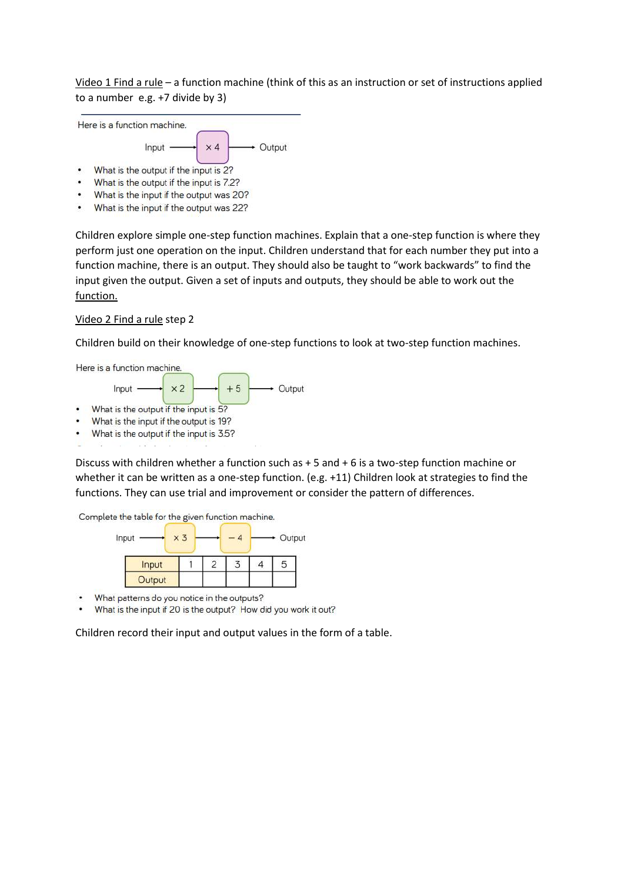Video 1 Find a rule – a function machine (think of this as an instruction or set of instructions applied to a number e.g. +7 divide by 3)



- What is the input if the output was 20?
- What is the input if the output was 22?

Children explore simple one-step function machines. Explain that a one-step function is where they perform just one operation on the input. Children understand that for each number they put into a function machine, there is an output. They should also be taught to "work backwards" to find the input given the output. Given a set of inputs and outputs, they should be able to work out the function.

## Video 2 Find a rule step 2

Children build on their knowledge of one-step functions to look at two-step function machines.



- 
- What is the output if the input is 3.5?

Discuss with children whether a function such as + 5 and + 6 is a two-step function machine or whether it can be written as a one-step function. (e.g. +11) Children look at strategies to find the functions. They can use trial and improvement or consider the pattern of differences.

Complete the table for the given function machine.



- What patterns do you notice in the outputs?
- What is the input if 20 is the output? How did you work it out?

Children record their input and output values in the form of a table.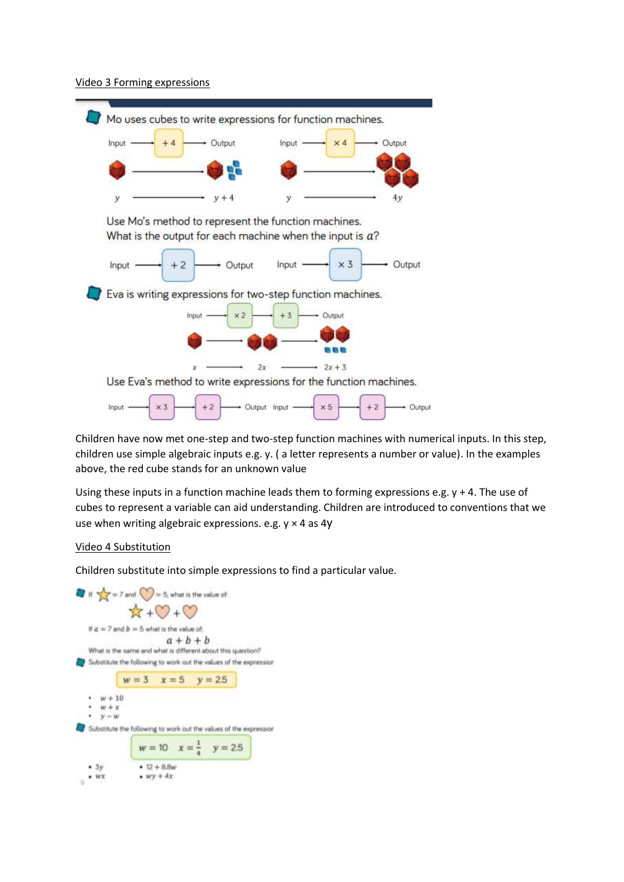## Video 3 Forming expressions



Children have now met one-step and two-step function machines with numerical inputs. In this step, children use simple algebraic inputs e.g. y. ( a letter represents a number or value). In the examples above, the red cube stands for an unknown value

Using these inputs in a function machine leads them to forming expressions e.g.  $y + 4$ . The use of cubes to represent a variable can aid understanding. Children are introduced to conventions that we use when writing algebraic expressions. e.g.  $y \times 4$  as 4y

## Video 4 Substitution

Children substitute into simple expressions to find a particular value.